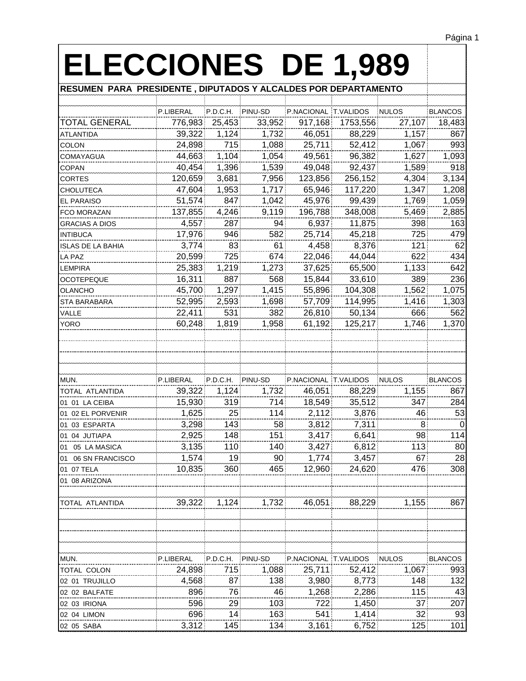| <b>ELECCIONES DE 1,989</b>                                      |           |          |         |                      |          |              |                |
|-----------------------------------------------------------------|-----------|----------|---------|----------------------|----------|--------------|----------------|
| RESUMEN PARA PRESIDENTE , DIPUTADOS Y ALCALDES POR DEPARTAMENTO |           |          |         |                      |          |              |                |
|                                                                 |           |          |         |                      |          |              |                |
|                                                                 | P.LIBERAL | P.D.C.H. | PINU-SD | P.NACIONAL T.VALIDOS |          | <b>NULOS</b> | <b>BLANCOS</b> |
| TOTAL GENERAL                                                   | 776,983   | 25,453   | 33,952  | 917,168              | 1753,556 | 27,107       | 18,483         |
| <b>ATLANTIDA</b>                                                | 39,322    | 1,124    | 1,732   | 46,051               | 88,229   | 1,157        | 867            |
| <b>COLON</b>                                                    | 24,898    | 715      | 1,088   | 25,711               | 52,412   | 1,067        | 993            |
| <b>COMAYAGUA</b>                                                | 44,663    | 1,104    | 1,054   | 49,561               | 96,382   | 1,627        | 1,093          |
| <b>COPAN</b>                                                    | 40,454    | 1,396    | 1,539   | 49,048               | 92,437   | 1,589        | 918            |
| <b>CORTES</b>                                                   | 120,659   | 3,681    | 7,956   | 123,856              | 256,152  | 4,304        | 3,134          |
| <b>CHOLUTECA</b>                                                | 47,604    | 1,953    | 1,717   | 65,946               | 117,220  | 1,347        | 1,208          |
| <b>EL PARAISO</b>                                               | 51,574    | 847      | 1,042   | 45,976               | 99,439   | 1,769        | 1,059          |
| <b>FCO MORAZAN</b>                                              | 137,855   | 4,246    | 9,119   | 196,788              | 348,008  | 5,469        | 2,885          |
| <b>GRACIAS A DIOS</b>                                           | 4,557     | 287      | 94      | 6,937                | 11,875   | 398          | 163            |
| <b>INTIBUCA</b>                                                 | 17,976    | 946      | 582     | 25,714               | 45,218   | 725          | 479            |
| ISLAS DE LA BAHIA                                               | 3.774     | 83.      | 61      | 4,458                | 8,376    | 121          | 62             |
| LA PAZ                                                          | 20,599    | 725      | 674     | 22,046               | 44,044   | 622          | 434            |
| <b>LEMPIRA</b>                                                  | 25,383    | 1,219    | 1,273   | 37,625               | 65,500   | 1,133        | 642            |
| <b>OCOTEPEQUE</b>                                               | 16,311    | 887      | 568     | 15,844               | 33,610   | 389          | 236            |
| <b>OLANCHO</b>                                                  | 45,700    | 1,297    | 1,415   | 55,896               | 104,308  | 1,562        | 1,075          |
| STA BARABARA                                                    | 52,995    | 2,593    | 1,698   | 57,709               | 114,995  | 1,416        | 1,303          |
| VALLE                                                           | 22,411    | 531      | 382     | 26,810               | 50,134   | 666          | 562            |
| <b>YORO</b>                                                     | 60,248    | 1,819    | 1,958   | 61,192               | 125,217  | 1.746        | 1,370          |
|                                                                 |           |          |         |                      |          |              |                |
|                                                                 |           |          |         |                      |          |              |                |
|                                                                 |           |          |         |                      |          |              |                |
| MUN.                                                            | P.LIBERAL | P.D.C.H. | PINU-SD | P.NACIONAL T.VALIDOS |          | <b>NULOS</b> | <b>BLANCOS</b> |
| TOTAL ATLANTIDA                                                 | 39,322    | 1,124    | 1,732   | 46,051               | 88,229   | 1,155        | 867            |
| 01 01 LA CEIBA                                                  | 15,930    | 319      | 714     | 18,549               | 35,512   | 347          | 284            |
| 01 02 EL PORVENIR                                               | 1,625     | 25:      | 114     | 2,112                | 3,876    | 46           | 53             |
| 01 03 ESPARTA                                                   | 3,298     | 143      | 58      | 3,812                | 7,311    | 8.           | 0              |
| 01 04 JUTIAPA                                                   | 2,925     | 148      | 151     | 3,417                | 6,641    | 98.          | 114            |
| 01 05 LA MASICA                                                 | 3,135     | 110      | 140     | 3,427                | 6,812    | 113          | 80             |
| 01 06 SN FRANCISCO                                              | 1,574     | 19.      | 90      | 1,774                | 3,457    | 67           | 28             |
| 01 07 TELA                                                      | 10,835    | 360      | 465     | 12,960               | 24,620   | 476          | 308            |
| 01 08 ARIZONA                                                   |           |          |         |                      |          |              |                |
| TOTAL ATLANTIDA                                                 | 39,322    | 1,124    | 1,732   | 46,051               | 88,229   | 1,155        | 867            |
|                                                                 |           |          |         |                      |          |              |                |
|                                                                 |           |          |         |                      |          |              |                |
| MUN.                                                            | P.LIBERAL | P.D.C.H. | PINU-SD | P.NACIONAL T.VALIDOS |          | <b>NULOS</b> | <b>BLANCOS</b> |
| TOTAL COLON                                                     | 24,898    | 715      | 1,088   | 25,711               | 52,412   | 1,067        | 993            |
| 02 01 TRUJILLO                                                  | 4,568     | 87.      | 138     | 3,980                | 8,773    | 148          | 132            |
| 02 02 BALFATE                                                   | 896       | 76.      | 46      | 1,268                | 2,286    | 115          | 43             |
| 02 03 IRIONA                                                    | 596       | 29       | 103     | 722                  | 1,450    | 37           | 207            |
| 02 04 LIMON                                                     | 696       | 14       | 163     | 541                  | 1,414    | 32           | 93             |
| 02 05 SABA                                                      | 3,312     | 145      | 134     | 3,161                | 6,752    | 125          | 101            |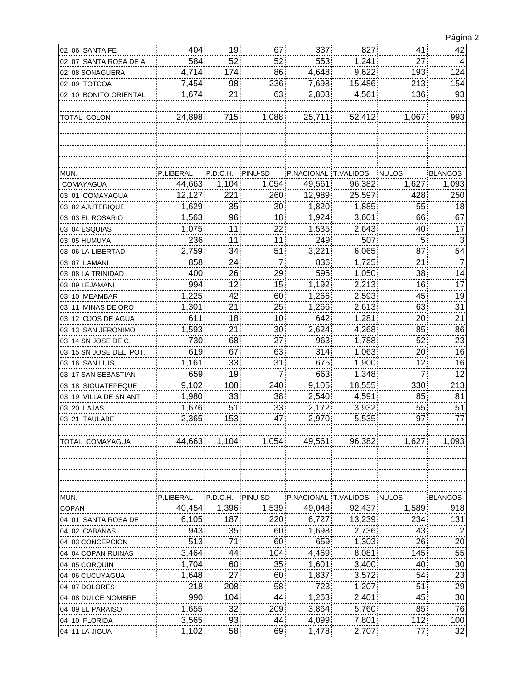|   | Página 2   |
|---|------------|
| ▗ | $\sqrt{ }$ |

| 02 06 SANTA FE         | 404       | 19              | 67      | 337                  | 827    | 41              | 42              |
|------------------------|-----------|-----------------|---------|----------------------|--------|-----------------|-----------------|
| 02 07 SANTA ROSA DE A  | 584       | 52              | 52      | 553                  | 1,241  | 27              | 4               |
| 02 08 SONAGUERA        | 4,714     | 174             | 86      | 4,648                | 9,622  | 193             | 124             |
| 02 09 TOTCOA           | 7,454     | 98.             | 236     | 7,698                | 15,486 | 213             | 154             |
| 02 10 BONITO ORIENTAL  | 1,674     | 21              | 63      | 2,803                | 4,561  | 136             | 93              |
|                        |           |                 |         |                      |        |                 |                 |
| TOTAL COLON            | 24,898    | 715             | 1,088   | 25,711               | 52,412 | 1,067           | 993             |
|                        |           |                 |         |                      |        |                 |                 |
|                        |           |                 |         |                      |        |                 |                 |
|                        |           |                 |         |                      |        |                 |                 |
|                        |           |                 |         |                      |        |                 |                 |
| MUN.                   | P.LIBERAL | P.D.C.H.        | PINU-SD | P.NACIONAL T.VALIDOS |        | <b>NULOS</b>    | <b>BLANCOS</b>  |
| COMAYAGUA              | 44,663    | 1,104           | 1,054   | 49,561               | 96,382 | 1,627           | 1,093           |
| 03 01 COMAYAGUA        | 12,127    | 221.            | 260     | 12,989               | 25,597 | 428             | 250             |
| 03 02 AJUTERIQUE       | 1,629     | 35              | 30      | 1,820                | 1,885  | 55:             | 18              |
| 03 03 EL ROSARIO       | 1,563     | 96:             | 18      | 1,924                | 3,601  | 66              | 67              |
| 03 04 ESQUIAS          | 1,075     | 11              | 22      | 1,535                | 2,643  | 40              | 17              |
| 03 05 HUMUYA           | 236       | 11 <sub>1</sub> | 11      | 249                  | 507    | 5 <sup>1</sup>  | 3               |
| 03 06 LA LIBERTAD      | 2,759     | 34              | 51      | 3,221                | 6,065  | 87              | 54              |
| 03 07 LAMANI           | 858       | 24.             | 7       | 836                  | 1,725  | 21              | 7               |
| 03 08 LA TRINIDAD      | 400       | 26              | 29      | 595                  | 1,050  | 38              | 14              |
| 03 09 LEJAMANI         | 994       | 12 <sub>1</sub> | 15      | 1,192                | 2,213  | 16              | 17              |
| 03 10 MEAMBAR          | 1,225     | 42              | 60      | 1,266                | 2,593  | 45              | 19              |
| 03 11 MINAS DE ORO     | 1,301     | 21              | 25      | 1,266                | 2,613  | 63              | 31              |
| 03 12 OJOS DE AGUA     | 611       | 18              | 10      | 642                  | 1,281  | 20              | 21              |
| 03 13 SAN JERONIMO     | 1,593     | 21              | 30      | 2,624                | 4,268  | 85              | 86              |
| 03 14 SN JOSE DE C,    | 730       | 68              | 27      | 963                  | 1,788  | 52              | 23              |
| 03 15 SN JOSE DEL POT. | 619       | 67.             | 63      | 314                  | 1,063  | 20              | 16              |
| 03 16 SAN LUIS         | 1,161     | 33              | 31      | 675                  | 1,900  | 12 <sub>2</sub> | 16              |
| 03 17 SAN SEBASTIAN    | 659       | 19              | 7       | 663                  | 1,348  | $\overline{7}$  | 12              |
| 03 18 SIGUATEPEQUE     | 9,102     | 108             | 240     | 9,105                | 18,555 | 330             | 213             |
| 03 19 VILLA DE SN ANT. | 1,980     | 33              | 38      | 2,540                | 4,591  | 85.             | 81              |
| 03 20 LAJAS            | 1,676     | 51.             | 33      | 2,172                | 3,932  | 55:             | 51              |
| 03 21 TAULABE          | 2,365     | 153             | 47      | 2,970                | 5,535  | 97              | 77              |
|                        |           |                 |         |                      |        |                 |                 |
| TOTAL COMAYAGUA        | 44,663    | 1,104           | 1,054   | 49,561               | 96,382 | 1,627           | 1,093           |
|                        |           |                 |         |                      |        |                 |                 |
|                        |           |                 |         |                      |        |                 |                 |
|                        |           |                 |         |                      |        |                 |                 |
|                        |           |                 |         |                      |        |                 |                 |
| MUN.                   | P.LIBERAL | P.D.C.H.        | PINU-SD | P.NACIONAL T.VALIDOS |        | <b>NULOS</b>    | <b>BLANCOS</b>  |
| <b>COPAN</b>           | 40,454    | 1,396           | 1,539   | 49,048               | 92,437 | 1,589           | 918             |
| 04 01 SANTA ROSA DE    | 6,105     | 187             | 220     | 6,727                | 13,239 | 234             | 131             |
| 04 02 CABAÑAS          | 943       | 35              | 60      | 1,698                | 2,736  | 43              | $\overline{2}$  |
| 04 03 CONCEPCION       | 513       | 71              | 60      | 659                  | 1,303  | 26              | 20              |
| 04 04 COPAN RUINAS     | 3,464     | 44.             | 104     | 4,469                | 8,081  | 145.            | 55              |
| 04 05 CORQUIN          | 1,704     | 60              | 35      | 1,601                | 3,400  | 40              | 30 <sub>o</sub> |
| 04 06 CUCUYAGUA        | 1,648     | 27              | 60      | 1,837                | 3,572  | 54              | 23              |
| 04 07 DOLORES          | 218       | 208             | 58      | 723                  | 1,207  | 51              | 29              |
| 04 08 DULCE NOMBRE     | 990       | 104             | 44      | 1,263                | 2,401  | 45              | 30              |
| 04 09 EL PARAISO       | 1,655     | 32 <sub>1</sub> | 209     | 3,864                | 5,760  | 85              | 76              |
| 04 10 FLORIDA          | 3,565     | 93              | 44      | 4,099                | 7,801  | 112             | 100             |
| 04 11 LA JIGUA         | 1,102     | 58              | 69      | 1,478                | 2,707  | 77              | 32              |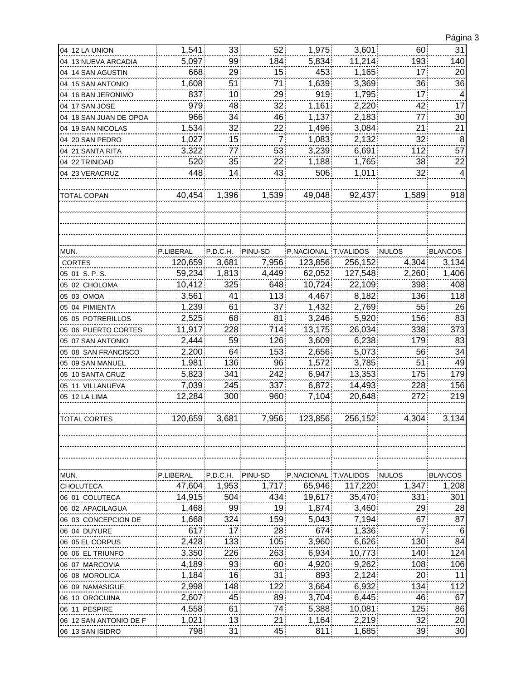|                        |           |                 |         |                      |         |                 | ັ              |
|------------------------|-----------|-----------------|---------|----------------------|---------|-----------------|----------------|
| 04 12 LA UNION         | 1,541     | 33 <sup>3</sup> | 52      | 1,975                | 3,601   | 60              | 31             |
| 04 13 NUEVA ARCADIA    | 5,097     | 99              | 184     | 5,834                | 11,214  | 193             | 140            |
| 04 14 SAN AGUSTIN      | 668       | 29              | 15      | 453                  | 1,165   | 17 <sub>1</sub> | 20             |
| 04 15 SAN ANTONIO      | 1,608     | 51              | 71      | 1,639                | 3,369   | 36.             | 36             |
| 04 16 BAN JERONIMO     | 837       | 10              | 29      | 919                  | 1,795   | 17 <sup>1</sup> | 4              |
| 04 17 SAN JOSE         | 979       | 48              | 32      | 1,161                | 2,220   | 42              | 17             |
| 04 18 SAN JUAN DE OPOA | 966       | 34              | 46      | 1,137                | 2,183   | 77              | 30             |
| 04 19 SAN NICOLAS      | 1,534     | 32              | 22      | 1,496                | 3,084   | 21              | 21             |
| 04 20 SAN PEDRO        | 1,027     | 15              | 7       | 1,083                | 2,132   | 32              | 8              |
| 04 21 SANTA RITA       | 3,322     | 77              | 53      | 3,239                | 6,691   | 112             | 57             |
| 04 22 TRINIDAD         | 520       | 35              | 22      | 1,188                | 1,765   | 38              | 22             |
| 04 23 VERACRUZ         | 448       | 14              | 43      | 506                  | 1,011   | 32              | 4              |
| <b>TOTAL COPAN</b>     | 40,454    | 1,396           | 1,539   | 49,048               | 92,437  | 1,589           | 918            |
|                        |           |                 |         |                      |         |                 |                |
| MUN.                   | P.LIBERAL | P.D.C.H.        | PINU-SD | P.NACIONAL T.VALIDOS |         | <b>NULOS</b>    | <b>BLANCOS</b> |
| CORTES                 | 120,659   | 3,681           | 7,956   | 123,856              | 256,152 | 4,304           | 3,134          |
| 05 01 S.P.S.           | 59,234    | 1,813           | 4,449   | 62,052               | 127,548 | 2,260           | 1,406          |
| 05 02 CHOLOMA          | 10,412    | 325             | 648     | 10,724               | 22,109  | 398             | 408            |
| 05 03 OMOA             | 3,561     | 41              | 113     | 4,467                | 8,182   | 136             | 118            |
| 05 04 PIMIENTA         | 1,239     | 61              | 37      | 1,432                | 2,769   | 55 <sub>1</sub> | 26             |
| 05 05 POTRERILLOS      | 2,525     | 68              | 81      | 3,246                | 5,920   | 156             | 83             |
| 05 06 PUERTO CORTES    | 11,917    | 228             | 714     | 13,175               | 26,034  | 338             | 373            |
| 05 07 SAN ANTONIO      | 2,444     | 59              | 126     | 3,609                | 6,238   | 179             | 83             |
| 05 08 SAN FRANCISCO    | 2,200     | 64              | 153     | 2,656                | 5,073   | 56 <sub>1</sub> | 34             |
| 05 09 SAN MANUEL       | 1,981     | 136             | 96      | 1,572                | 3,785   | 51              | 49             |
| 05 10 SANTA CRUZ       | 5,823     | 341             | 242     | 6,947                | 13,353  | 175             | 179            |
| 05 11 VILLANUEVA       | 7,039     | 245             | 337     | 6,872                | 14,493  | 228             | 156            |
| 05 12 LA LIMA          | 12,284    | 300             | 960     | 7,104                | 20,648  | 272             | 219            |
|                        |           |                 |         |                      |         |                 |                |
| <b>TOTAL CORTES</b>    | 120,659   | 3,681           | 7,956   | 123,856              | 256,152 | 4,304           | 3,134          |
| MUN.                   | P.LIBERAL | P.D.C.H.        | PINU-SD | P.NACIONAL T.VALIDOS |         | <b>NULOS</b>    | <b>BLANCOS</b> |
| CHOLUTECA              | 47,604    | 1,953           | 1,717   | 65,946               | 117,220 | 1,347           | 1,208          |
| 06 01 COLUTECA         | 14,915    | 504             | 434     | 19,617               | 35,470  | 331             | 301            |
| 06 02 APACILAGUA       | 1,468     | 99              | 19      | 1,874                | 3,460   | 29              | 28             |
| 06 03 CONCEPCION DE    | 1,668     | 324             | 159     | 5,043                | 7,194   | 67              | 87             |
| 06 04 DUYURE           | 617       | 17              | 28      | 674                  | 1,336   | 7:              | 6              |
| 06 05 EL CORPUS        | 2,428     | 133             | 105     | 3,960                | 6,626   | 130             | 84             |
| 06 06 EL TRIUNFO       | 3,350     | 226             | 263     | 6,934                | 10,773  | 140             | 124            |
| 06 07 MARCOVIA         | 4,189     | 93              | 60      | 4,920                | 9,262   | 108             | 106            |
| 06 08 MOROLICA         | 1,184     | 16              | 31      | 893                  | 2,124   | 20              | 11             |
| 06 09 NAMASIGUE        | 2,998     | 148             | 122     | 3,664                | 6,932   | 134             | 112            |
| 06 10 OROCUINA         | 2,607     | 45              | 89      | 3,704                | 6,445   | 46              | 67             |
| 06 11 PESPIRE          | 4,558     | 61              | 74      | 5,388                | 10,081  | 125             | 86             |
| 06 12 SAN ANTONIO DE F | 1,021     | 13.             | 21      | 1,164                | 2,219   | 32.             | 20             |
| 06 13 SAN ISIDRO       | 798       | 31              | 45      | 811                  | 1,685   | 39              | 30             |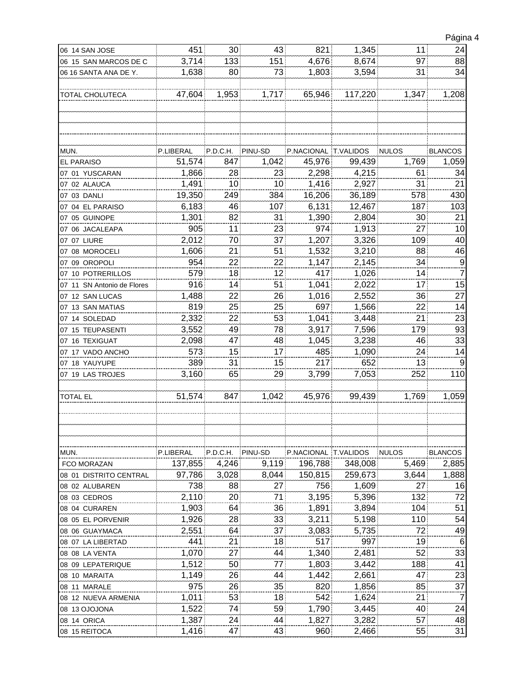| 06 14 SAN JOSE             | 451       | 30 <sup>°</sup> | 43      | 821                  | 1,345   | $11^{\circ}$ | 24              |
|----------------------------|-----------|-----------------|---------|----------------------|---------|--------------|-----------------|
| 06 15 SAN MARCOS DE C      | 3,714     | 133             | 151     | 4,676                | 8,674   | 97           | 88              |
|                            |           |                 |         |                      | 3,594   |              | 34              |
| 06 16 SANTA ANA DE Y.      | 1,638     | 80              | 73      | 1,803                |         | 31           |                 |
|                            |           |                 |         |                      |         |              |                 |
| TOTAL CHOLUTECA            | 47,604    | 1,953           | 1,717   | 65,946               | 117,220 | 1,347        | 1,208           |
|                            |           |                 |         |                      |         |              |                 |
|                            |           |                 |         |                      |         |              |                 |
|                            |           |                 |         |                      |         |              |                 |
|                            |           |                 |         |                      |         |              |                 |
| MUN.                       | P.LIBERAL | P.D.C.H.        | PINU-SD | P.NACIONAL T.VALIDOS |         | <b>NULOS</b> | <b>BLANCOS</b>  |
| <b>EL PARAISO</b>          | 51,574    | 847             | 1,042   | 45,976               | 99,439  | 1,769        | 1,059           |
| 07 01 YUSCARAN             | 1,866     | 28              | 23      | 2,298                | 4,215   | 61           | 34              |
|                            |           |                 |         |                      |         |              | 21              |
| 07 02 ALAUCA               | 1,491     | 10 <sup>1</sup> | 10      | 1,416                | 2,927   | 31           |                 |
| 07 03 DANLI                | 19,350    | 249             | 384     | 16,206               | 36,189  | 578          | 430             |
| 07 04 EL PARAISO           | 6,183     | 46              | 107     | 6,131                | 12,467  | 187          | 103             |
| 07 05 GUINOPE              | 1,301     | 82              | 31      | 1,390                | 2,804   | 30           | 21              |
| 07 06 JACALEAPA            | 905       | 11              | 23      | 974                  | 1,913   | 27           | 10              |
| 07 07 LIURE                | 2,012     | 70:             | 37      | 1,207                | 3,326   | 109          | 40              |
| 07 08 MOROCELI             | 1,606     | 21              | 51      | 1,532                | 3,210   | 88           | 46              |
| 07 09 OROPOLI              | 954       | 22              | 22      | 1,147                | 2,145   | 34           |                 |
| 07 10 POTRERILLOS          | 579       | 18              | 12      | 417                  | 1,026   | 14           | $\frac{9}{7}$   |
| 07 11 SN Antonio de Flores | 916       | 14              | 51      | 1,041                | 2,022   | 17           | 15              |
|                            | 1,488     | 22              | 26      | 1,016                | 2,552   | 36           | 27              |
| 07 12 SAN LUCAS            |           |                 |         |                      |         |              |                 |
| 07 13 SAN MATIAS           | 819       | 25              | 25      | 697                  | 1,566   | 22           | 14              |
| 07 14 SOLEDAD              | 2,332     | 22              | 53      | 1,041                | 3,448   | 21           | 23              |
| 07 15 TEUPASENTI           | 3,552     | 49              | 78      | 3,917                | 7,596   | 179          | 93              |
| 07 16 TEXIGUAT             | 2,098     | 47              | 48      | 1,045                | 3,238   | 46           | 33              |
| 07 17 VADO ANCHO           | 573       | 15              | 17      | 485                  | 1,090   | 24           | 14              |
| 07 18 YAUYUPE              | 389       | 31              | 15      | 217                  | 652     | 13           | 9               |
| 07 19 LAS TROJES           | 3,160     | 65              | 29      | 3,799                | 7,053   | 252          | 110             |
|                            |           |                 |         |                      |         |              |                 |
| <b>TOTAL EL</b>            | 51,574    | 847             | 1,042   | 45,976               | 99,439  | 1,769        | 1,059           |
|                            |           |                 |         |                      |         |              |                 |
|                            |           |                 |         |                      |         |              |                 |
|                            |           |                 |         |                      |         |              |                 |
|                            |           |                 |         |                      |         |              |                 |
|                            |           |                 |         |                      |         |              |                 |
| MUN.                       | P.LIBERAL | P.D.C.H.        | PINU-SD | P.NACIONAL T.VALIDOS |         | <b>NULOS</b> | <b>BLANCOS</b>  |
| FCO MORAZAN                | 137,855   | 4,246           | 9,119   | 196,788              | 348,008 | 5.469        | 2,885           |
| 08 01 DISTRITO CENTRAL     | 97,786    | 3,028           | 8,044   | 150,815              | 259,673 | 3,644        | 1,888           |
| 08 02 ALUBAREN             | 738       | 88              | 27      | 756                  | 1,609   | 27           | 16              |
| 08 03 CEDROS               | 2,110     | 20              | 71      | 3,195                | 5,396   | 132          | 72              |
| 08 04 CURAREN              | 1,903     | 64              | 36      | 1,891                | 3,894   | 104          | 51              |
| 08 05 EL PORVENIR          | 1,926     | 28              | 33      | 3,211                | 5,198   | 110          | 54              |
|                            |           |                 |         |                      |         | 72           | 49              |
| 08 06 GUAYMACA             | 2,551     | 64              | 37      | 3,083                | 5,735   |              |                 |
| 08 07 LA LIBERTAD          | 441       | 21              | 18      | 517                  | 997     | 19           | $6\phantom{1}6$ |
| 08 08 LA VENTA             | 1,070     | 27              | 44      | 1,340                | 2,481   | 52           | 33              |
| 08 09 LEPATERIQUE          | 1,512     | 50              | 77      | 1,803                | 3,442   | 188          | 41              |
| 08 10 MARAITA              | 1,149     | 26.             | 44      | 1,442                | 2,661   | 471          | 23              |
| 08 11 MARALE               | 975       | 26              | 35      | 820                  | 1,856   | 85           | 37              |
| 08 12 NUEVA ARMENIA        | 1,011     | 53              | 18      | 542                  | 1,624   | 21           | $\overline{7}$  |
| 08 13 OJOJONA              | 1,522     | 74              | 59      | 1,790                | 3,445   | 40           | 24              |
| 08 14 ORICA                | 1,387     | 24              | 44      | 1,827                | 3,282   | 57           | 48              |
| 08 15 REITOCA              | 1,416     | 47              | 43      | 960                  | 2,466   | 55           | 31              |
|                            |           |                 |         |                      |         |              |                 |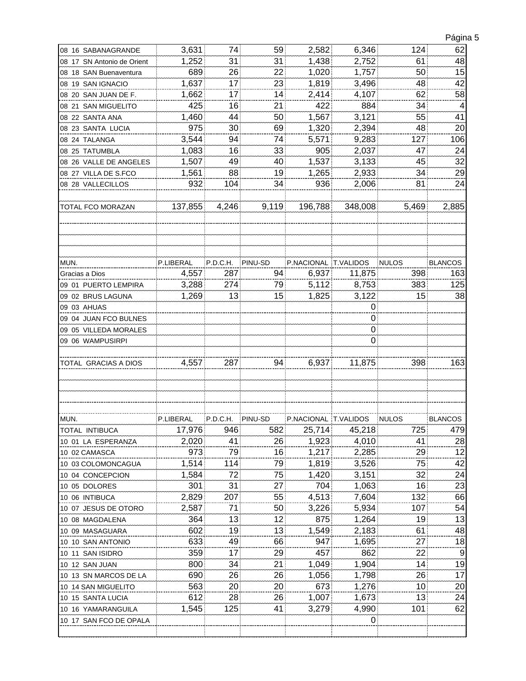|                                                                                                                                                                              |           |                  |         |                      |            |              | Página 5                              |
|------------------------------------------------------------------------------------------------------------------------------------------------------------------------------|-----------|------------------|---------|----------------------|------------|--------------|---------------------------------------|
| 08 16 SABANAGRANDE                                                                                                                                                           | 3,631     | 74.              | 59      | 2,582                | 6,346      | 124          | 62                                    |
| 08 17 SN Antonio de Orient                                                                                                                                                   | 1,252     | 31               | 31      | 1,438                | 2.752      | 61           | 48                                    |
| 08 18 SAN Buenaventura                                                                                                                                                       | 689       | 26               | 22      | 1,020                | 1,757      | 50           | 15                                    |
| 08 19 SAN IGNACIO                                                                                                                                                            | 1,637     | 17 <sub>1</sub>  | 23      | 1,819                | 3,496      | 48           | 42                                    |
| 08 20 SAN JUAN DE F.                                                                                                                                                         | 1,662     | 17               | 14      | 2,414                | 4,107      | 62           | 58                                    |
| 08 21 SAN MIGUELITO                                                                                                                                                          | 425       | 16               | 21      | 422                  | 884        | 34           | 4                                     |
| 08 22 SANTA ANA                                                                                                                                                              | 1,460     | 44               | 50      | 1,567                | 3,121      | 55           | 41                                    |
| 08 23 SANTA LUCIA                                                                                                                                                            | 975       | 30               | 69      | 1,320                | 2,394      | 48           | 20                                    |
| 08 24 TALANGA                                                                                                                                                                | 3,544     | 94               | 74      | 5,571                | 9,283      | 127          | 106                                   |
| 08 25 TATUMBLA                                                                                                                                                               | 1,083     | 16               | 33      | 905                  | 2,037      | 47           | 24                                    |
| 08 26 VALLE DE ANGELES                                                                                                                                                       | 1,507     | 49               | 40      | 1,537                | 3,133      | 45           | 32                                    |
| 08 27 VILLA DE S.FCO                                                                                                                                                         | 1,561     | 88               | 19      | 1,265                | 2,933      | 34           | 29                                    |
| 08 28 VALLECILLOS                                                                                                                                                            | 932       | 104              | 34      | 936                  | 2,006      | 81           | 24                                    |
|                                                                                                                                                                              |           |                  |         |                      |            |              |                                       |
| TOTAL FCO MORAZAN                                                                                                                                                            | 137,855   | 4,246            | 9,119   | 196,788              | 348,008    | 5,469        | 2,885                                 |
| MUN.                                                                                                                                                                         | P.LIBERAL | P.D.C.H.         | PINU-SD | P.NACIONAL T.VALIDOS |            | <b>NULOS</b> | <b>BLANCOS</b>                        |
| Gracias a Dios                                                                                                                                                               | 4,557     | 287              | 94      | 6,937                | 11,875     | 398          | 163                                   |
|                                                                                                                                                                              |           | 274              | 79      | 5,112                | 8,753      | 383          | 125                                   |
| 09 01 PUERTO LEMPIRA                                                                                                                                                         | 3,288     |                  |         |                      |            |              | 38                                    |
| 09 02 BRUS LAGUNA                                                                                                                                                            | 1,269     | 13               | 15      | 1,825                | 3,122      | 15           |                                       |
| 09 03 AHUAS                                                                                                                                                                  |           |                  |         |                      | 0          |              |                                       |
| 09 04 JUAN FCO BULNES                                                                                                                                                        |           |                  |         |                      | 0          |              |                                       |
| 09 05 VILLEDA MORALES                                                                                                                                                        |           |                  |         |                      | 0          |              |                                       |
| 09 06 WAMPUSIRPI                                                                                                                                                             |           |                  |         |                      | 0          |              |                                       |
| TOTAL GRACIAS A DIOS                                                                                                                                                         | 4,557     | 287              | 94      | 6,937                | 11,875     | 398          | 163                                   |
|                                                                                                                                                                              |           |                  |         |                      |            |              |                                       |
| MUN.                                                                                                                                                                         | P.LIBERAL | P.D.C.H. PINU-SD |         | P.NACIONAL T.VALIDOS |            | <b>NULOS</b> | <b>BLANCOS</b>                        |
| TOTAL INTIBUCA                                                                                                                                                               | 17,976    | 946              | 582     | 25,714               | 45,218     | 725          | 479                                   |
| 10 01 LA ESPERANZA                                                                                                                                                           | 2,020     | 41               | 26      | 1,923                | 4,010      | 41           | 28                                    |
| 10 02 CAMASCA                                                                                                                                                                | 973       | 791              | 16      | 1,217                | 2,285      | 29           | 12                                    |
| 10 03 COLOMONCAGUA                                                                                                                                                           | 1,514     | 114              | 79      | 1,819                | 3,526      | 75.          | 42                                    |
| 10 04 CONCEPCION                                                                                                                                                             | 1,584     | 72               | 75      | 1,420                | 3,151      | 32           | 24                                    |
| 10 05 DOLORES                                                                                                                                                                | 301       | 31               | 27      | 704                  | 1,063      | 16           | 23                                    |
| 10 06 INTIBUCA                                                                                                                                                               | 2,829     | 207              | 55      | 4,513                | 7,604      | 132          | 66                                    |
| 10 07 JESUS DE OTORO                                                                                                                                                         | 2,587     | 71               | 50      | 3,226                | 5,934      | 107          | 54                                    |
| 10 08 MAGDALENA                                                                                                                                                              |           |                  |         |                      |            | 19           | 13                                    |
| 10 09 MASAGUARA                                                                                                                                                              |           |                  |         |                      |            |              |                                       |
|                                                                                                                                                                              | 364       | 13               | 12      | 875                  | 1,264      |              |                                       |
|                                                                                                                                                                              | 602       | 19               | 13      | 1,549                | 2,183      | 61           |                                       |
|                                                                                                                                                                              | 633       | 49               | 66      | 947                  | 1,695      | 27           |                                       |
|                                                                                                                                                                              | 359       | 17.              | 29      | 457                  | 862        | 22           |                                       |
|                                                                                                                                                                              | 800       | 34               | 21      | 1,049                | 1,904      | 14           |                                       |
|                                                                                                                                                                              | 690       | 26.              | 26      | 1,056                | 1,798      | 26:          |                                       |
|                                                                                                                                                                              | 563       | 20               | 20      | 673                  | 1,276      | 10           |                                       |
|                                                                                                                                                                              | 612       | 28               | 26      | 1,007                | 1,673      | 13           | 48<br>18<br>9<br>19<br>17<br>20<br>24 |
| 10 10 SAN ANTONIO<br>10 11 SAN ISIDRO<br>10 12 SAN JUAN<br>10 13 SN MARCOS DE LA<br>10 14 SAN MIGUELITO<br>10 15 SANTA LUCIA<br>10 16 YAMARANGUILA<br>10 17 SAN FCO DE OPALA | 1,545     | 125              | 41      | 3,279                | 4,990<br>0 | 101          | 62                                    |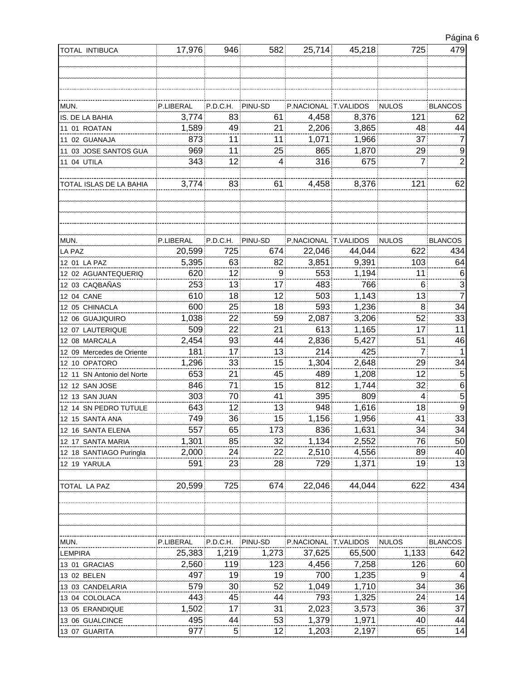| Página 6 |  |
|----------|--|
|          |  |
|          |  |

| TOTAL INTIBUCA             | 17,976    | 946            | 582     | 25,714               | 45,218 | 725          | 479              |
|----------------------------|-----------|----------------|---------|----------------------|--------|--------------|------------------|
|                            |           |                |         |                      |        |              |                  |
|                            |           |                |         |                      |        |              |                  |
|                            |           |                |         |                      |        |              |                  |
|                            |           |                |         |                      |        |              |                  |
| MUN.                       | P.LIBERAL | P.D.C.H.       | PINU-SD | P.NACIONAL T.VALIDOS |        | <b>NULOS</b> | <b>BLANCOS</b>   |
| IS. DE LA BAHIA            | 3,774     | 83             | 61      | 4,458                | 8,376  | 121          | 62               |
| 11 01 ROATAN               | 1,589     | 49             | 21      | 2,206                | 3,865  | 48           | 44               |
| 11 02 GUANAJA              | 873       | 11             | 11      | 1,071                | 1,966  | 37           | 7                |
| 11 03 JOSE SANTOS GUA      | 969       | 11             | 25      | 865                  | 1,870  | 29           | 9                |
| 11 04 UTILA                | 343       | 12             | 4       | 316                  | 675    | 7            | $\overline{2}$   |
| TOTAL ISLAS DE LA BAHIA    | 3,774     | 83             | 61      | 4,458                | 8,376  | 121          | 62               |
|                            |           |                |         |                      |        |              |                  |
|                            |           |                |         |                      |        |              |                  |
| MUN.                       | P.LIBERAL | P.D.C.H.       | PINU-SD | P.NACIONAL T.VALIDOS |        | <b>NULOS</b> | <b>BLANCOS</b>   |
| <b>LA PAZ</b>              | 20,599    | 725            | 674     | 22,046               | 44,044 | 622          | 434              |
| 12 01 LA PAZ               | 5,395     | 63             | 82      | 3,851                | 9,391  | 103          | 64               |
| 12 02 AGUANTEQUERIQ        | 620       | 12             | 9       | 553                  | 1,194  | 11           | 6                |
| 12 03 CAQBAÑAS             | 253       | 13             | 17      | 483                  | 766    | 6            | 3                |
| 12 04 CANE                 | 610       | 18             | 12      | 503                  | 1,143  | 13           | $\overline{7}$   |
| 12 05 CHINACLA             | 600       | 25             | 18      | 593                  | 1,236  | 8            | 34               |
| 12 06 GUAJIQUIRO           | 1,038     | 22             | 59      | 2,087                | 3,206  | 52           | 33               |
| 12 07 LAUTERIQUE           | 509       | 22             | 21      | 613                  | 1,165  | 17           | 11               |
| 12 08 MARCALA              | 2,454     | 93             | 44      | 2,836                | 5,427  | 51           | 46               |
| 12 09 Mercedes de Oriente  | 181       | 17             | 13      | 214                  | 425    | 7.           | 1                |
| 12 10 OPATORO              | 1,296     | 33             | 15      | 1,304                | 2,648  | 29           | 34               |
| 12 11 SN Antonio del Norte | 653       | 21             | 45      | 489                  | 1,208  | 12           | $\overline{5}$   |
| 12 12 SAN JOSE             | 846       | 71             | 15      | 812                  | 1,744  | 32           | 6                |
| 12 13 SAN JUAN             | 303       | 70             | 41      | 395                  | 809    | 4            | $\overline{5}$   |
| 12 14 SN PEDRO TUTULE      | 643       | 12             | 13      | 948                  | 1,616  | 18           | $\boldsymbol{9}$ |
| 12 15 SANTA ANA            | 749       | 36             | 15      | 1,156                | 1,956  | 41           | 33               |
| 12 16 SANTA ELENA          | 557       | 65.            | 173     | 836                  | 1,631  | 34           | 34               |
| 12 17 SANTA MARIA          | 1,301     | 85.            | 32      | 1,134                | 2,552  | 76.          | 50               |
| 12 18 SANTIAGO Puringla    | 2,000     | 24             | 22      | 2,510                | 4,556  | 89           | 40               |
| 12 19 YARULA               | 591       | 23             | 28      | 729                  | 1,371  | 19           | 13               |
| TOTAL LA PAZ               | 20,599    | 725            | 674     | 22,046               | 44,044 | 622          | 434              |
|                            |           |                |         |                      |        |              |                  |
| MUN.                       | P.LIBERAL | P.D.C.H.       | PINU-SD | P.NACIONAL T.VALIDOS |        | <b>NULOS</b> | <b>BLANCOS</b>   |
| LEMPIRA                    | 25,383    | 1,219          | 1,273   | 37,625               | 65,500 | 1,133        | 642              |
| 13 01 GRACIAS              | 2,560     | 119            | 123     | 4,456                | 7,258  | 126          | 60               |
| 13 02 BELEN                | 497       | 19             | 19      | 700                  | 1,235  | 9            | 4                |
| 13 03 CANDELARIA           | 579       | 30             | 52      | 1,049                | 1,710  | 34           | 36               |
| 13 04 COLOLACA             | 443       | 45             | 44      | 793                  | 1,325  | 24           | 14               |
| 13 05 ERANDIQUE            | 1,502     | 17.            | 31      | 2,023                | 3,573  | 36           | 37               |
| 13 06 GUALCINCE            | 495       | 44:            | 53      | 1,379                | 1,971  | 40:          | 44               |
| 13 07 GUARITA              | 977       | 5 <sup>1</sup> | 12      | 1,203                | 2,197  | 65           | 14               |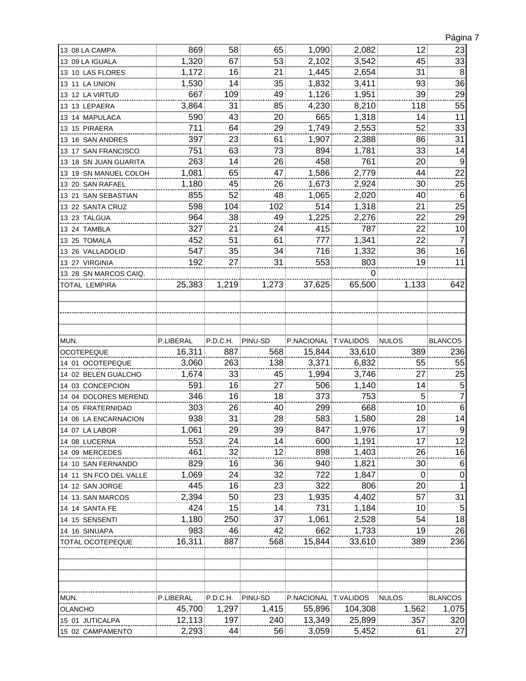| 13 08 LA CAMPA         | 869       | 58               | 65      | 1,090                | 2,082   | 12 <sub>2</sub> | 23             |
|------------------------|-----------|------------------|---------|----------------------|---------|-----------------|----------------|
| 13 09 LA IGUALA        | 1,320     | 67               | 53      | 2,102                | 3,542   | 45              | 33             |
| 13 10 LAS FLORES       | 1,172     | 16               | 21      | 1,445                | 2,654   | 31              | 8              |
| 13 11 LA UNION         | 1,530     | 14.              | 35      | 1,832                | 3,411   | 93.             | 36             |
| 13 12 LA VIRTUD        | 667       | 109              | 49      | 1,126                | 1,951   | 39              | 29             |
| 13 13 LEPAERA          | 3,864     | 31               | 85      | 4,230                | 8,210   | 118             | 55             |
| 13 14 MAPULACA         | 590       | 43               | 20      | 665                  | 1,318   | 14              | 11             |
| 13 15 PIRAERA          | 711       | 64               | 29      | 1,749                | 2,553   | 52              | 33             |
| 13 16 SAN ANDRES       | 397       | 23               | 61      | 1,907                | 2,388   | 86              | 31             |
| 13 17 SAN FRANCISCO    | 751       | 63               | 73      | 894                  | 1,781   | 33              | 14             |
| 13 18 SN JUAN GUARITA  | 263       | 14               | 26      | 458                  | 761     | 20              | 9              |
| 13 19 SN MANUEL COLOH  | 1,081     | 65               | 47      | 1,586                | 2,779   | 44              | 22             |
| 13 20 SAN RAFAEL       | 1,180     | 45               | 26      | 1,673                | 2,924   | 30              | 25             |
| 13 21 SAN SEBASTIAN    | 855       | 52               | 48      | 1,065                | 2,020   | 40              | $\,6$          |
| 13 22 SANTA CRUZ       | 598       | 104 <sup>1</sup> | 102     | 514                  | 1,318   | 21              | 25             |
| 13 23 TALGUA           | 964       | 38               | 49      | 1,225                | 2,276   | 22              | 29             |
| 13 24 TAMBLA           | 327       | 21               | 24      | 415                  | 787     | 22              | 10             |
| 13 25 TOMALA           | 452       | 51               | 61      | 777                  | 1,341   | 22              | 7              |
| 13 26 VALLADOLID       | 547       | 35               | 34      | 716                  | 1,332   | 36              | 16             |
| 13 27 VIRGINIA         | 192       | 27               | 31      | 553                  | 803     | 19              | 11             |
| 13 28 SN MARCOS CAIQ.  |           |                  |         |                      | 0       |                 |                |
| TOTAL LEMPIRA          | 25,383    | 1,219            | 1,273   | 37,625               | 65,500  | 1,133           | 642            |
|                        |           |                  |         |                      |         |                 |                |
| MUN.                   | P.LIBERAL | P.D.C.H.         | PINU-SD | P.NACIONAL T.VALIDOS |         | <b>NULOS</b>    | <b>BLANCOS</b> |
| <b>OCOTEPEQUE</b>      | 16,311    | 887              | 568     |                      |         |                 |                |
|                        |           |                  |         | 15,844               | 33,610  | 389             | 236            |
| 14 01 OCOTEPEQUE       | 3,060     | 263              | 138     | 3,371                | 6,832   | 55              | 55             |
| 14 02 BELEN GUALCHO    | 1,674     | 33               | 45      | 1,994                | 3,746   | 27              | $^{25}$        |
| 14 03 CONCEPCION       | 591       | 16               | 27      | 506                  | 1,140   | 14              | 5              |
| 14 04 DOLORES MEREND   | 346       | 16               | 18      | 373                  | 753     | 5               | 7              |
| 14 05 FRATERNIDAD      | 303       | 26.              | 40      | 299                  | 668     | 10              | 6              |
| 14 06 LA ENCARNACION   | 938       | 31               | 28      | 583                  | 1,580   | 28              | 14             |
| 14 07 LA LABOR         | 1,061     | 29               | 39      | 847                  | 1,976   | 17 <sub>2</sub> | 9              |
| 14 08 LUCERNA          | 553       | 24.              | 14      | 600                  | 1,191   | 17 <sub>1</sub> | 12             |
| 14 09 MERCEDES         | 461       | 32               | 12      | 898                  | 1,403   | 26              | 16             |
| 14 10 SAN FERNANDO     | 829       | 16               | 36      | 940                  | 1,821   | 30              | 6              |
| 14 11 SN FCO DEL VALLE | 1,069     | 24:              | 32      | 722                  | 1,847   | $\mathbf{0}$    | 0              |
| 14 12 SAN JORGE        | 445       | 16               | 23      | 322                  | 806     | 20              | 1              |
| 14 13 SAN MARCOS       | 2,394     | 50 <sup>3</sup>  | 23      | 1,935                | 4,402   | 57 <sup>1</sup> | 31             |
| 14 14 SANTA FE         | 424       | 15               | 14      | 731                  | 1,184   | 10              | 5              |
| 14 15 SENSENTI         | 1,180     | 250              | 37      | 1,061                | 2,528   | 54              | 18             |
| 14 16 SINUAPA          | 983       | 46.              | 42      | 662                  | 1,733   | 19:             | 26             |
| TOTAL OCOTEPEQUE       | 16,311    | 887              | 568     | 15,844               | 33,610  | 389             | 236            |
| MUN.                   | P.LIBERAL | P.D.C.H.         | PINU-SD | P.NACIONAL T.VALIDOS |         | <b>NULOS</b>    | <b>BLANCOS</b> |
| OLANCHO                | 45,700    | 1,297            | 1,415   | 55,896               | 104,308 | 1,562           | 1,075          |
| 15 01 JUTICALPA        | 12,113    | 197              | 240     | 13,349               | 25,899  | 357             | 320            |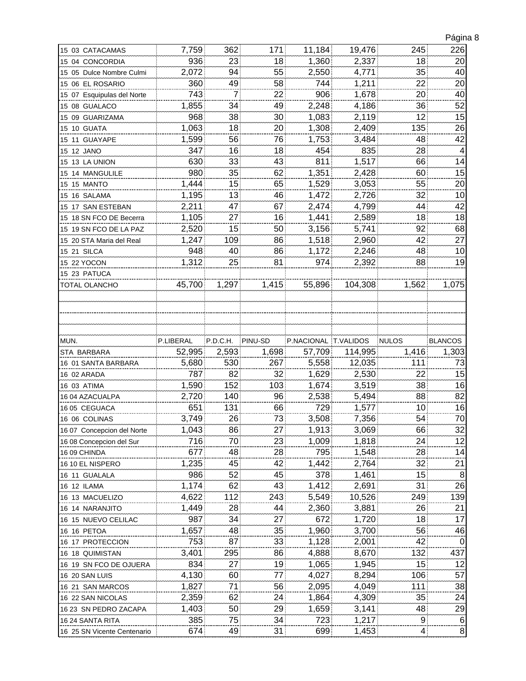|                                                 |            |                 |          |                      |                |                 | ∹ອ                  |
|-------------------------------------------------|------------|-----------------|----------|----------------------|----------------|-----------------|---------------------|
| 15 03 CATACAMAS                                 | 7,759      | 362             | 171      | 11,184               | 19,476         | 245             | 226                 |
| 15 04 CONCORDIA                                 | 936        | 23              | 18       | 1,360                | 2,337          | 18              | 20                  |
| 15 05 Dulce Nombre Culmi                        | 2,072      | 94              | 55       | 2,550                | 4,771          | 35              | 40                  |
| 15 06 EL ROSARIO                                | 360        | 49              | 58       | 744                  | 1,211          | 22              | 20                  |
| 15 07 Esquipulas del Norte                      | 743        | $\overline{7}$  | 22       | 906                  | 1,678          | 20              | 40                  |
| 15 08 GUALACO                                   | 1.855      | 34              | 49       | 2,248                | 4,186          | 36              | 52                  |
| 15 09 GUARIZAMA                                 | 968        | 38              | 30       | 1,083                | 2,119          | 12              | 15                  |
| 15 10 GUATA                                     | 1,063      | 18              | 20       | 1,308                | 2,409          | 135             | 26                  |
|                                                 | 1,599      | 56.             | 76       | 1,753                | 3,484          | 48              | 42                  |
| 15 12 JANO                                      | 347        | 16              | 18       | 454                  | 835            | 28              | 4                   |
| 15 13 LA UNION                                  | 630        | 33              | 43       | 811                  | 1,517          | 66              | 14                  |
| 15 14 MANGULILE                                 | 980        | 35              | 62       | 1,351                | 2,428          | 60              | 15                  |
| <b>15 15 MANTO</b>                              | 1,444      | 15 <sub>1</sub> | 65       | 1,529                | 3,053          | 55              | 20                  |
| 15 16 SALAMA                                    | 1,195      | 13              | 46       | 1,472                | 2,726          | 32              | 10                  |
| 15 17 SAN ESTEBAN                               | 2,211      | 47              | 67       | 2,474                | 4,799          | 44              | 42                  |
| 15 18 SN FCO DE Becerra                         | 1,105      | 271             | 16       | 1.441                | 2,589          | 18 <sup>1</sup> | 18                  |
| 15 19 SN FCO DE LA PAZ                          | 2,520      | 15              | 50       | 3,156                | 5,741          | 92              | 68                  |
| 15 20 STA Maria del Real                        | 1,247      | 109             | 86       | 1,518                | 2,960          | 42              | 27                  |
| <b>15 21 SILCA</b>                              | 948        | 40              | 86       | 1,172                | 2.246          | 48              | 10                  |
| 15 22 YOCON                                     | 1,312      | 25              | 81       | 974                  | 2.392          | 88              | 19                  |
| 15 23 PATUCA                                    |            |                 |          |                      |                |                 |                     |
| TOTAL OLANCHO                                   | 45,700     | 1,297           | 1,415    | 55,896               | 104,308        | 1,562           | 1,075               |
|                                                 |            |                 |          |                      |                |                 |                     |
|                                                 |            |                 |          |                      |                |                 |                     |
|                                                 |            |                 |          |                      |                |                 |                     |
|                                                 |            |                 |          |                      |                |                 |                     |
| MUN.                                            | P.LIBERAL  | P.D.C.H.        | PINU-SD  | P.NACIONAL T.VALIDOS |                | <b>NULOS</b>    | <b>BLANCOS</b>      |
| STA BARBARA                                     | 52,995     | 2,593           | 1,698    | 57,709               | 114,995        | 1,416           | 1,303               |
| 16 01 SANTA BARBARA                             | 5,680      | 530             | 267      | 5,558                | 12,035         | 111             | 73                  |
| 16 02 ARADA                                     | 787        | 82              | 32       | 1,629                | 2,530          | 22              | 15                  |
| 16 03 ATIMA                                     | 1,590      | 152             | 103      | 1,674                | 3,519          | 38              | 16                  |
| 16 04 AZACUALPA                                 | 2,720      | 140             | 96       | 2,538                | 5,494          | 88              | 82                  |
| 16 05 CEGUACA                                   | 651        | 131             | 66       | 729                  | 1,577          | 10              | 16                  |
| 16 06 COLINAS                                   | 3,749      | 26              | 73       | 3,508                | 7,356          | 54              | 70                  |
| 16 07 Concepcion del Norte                      | 1,043      | 86              | 27       | 1,913                | 3,069          | 66              | 32                  |
| 16 08 Concepcion del Sur                        | 716        | 70              | 23       | 1,009                | 1,818          | 24              | 12                  |
| 16 09 CHINDA                                    | 677        | 48              | 28       | 795                  | 1,548          | 28              | 14                  |
| 16 10 EL NISPERO                                | 1,235      | 45              | 42       | 1,442                | 2,764          | 32              | 21                  |
| 16 11 GUALALA                                   | 986        | 52              | 45       | 378                  | 1,461          | 15              | 8                   |
| 16 12 ILAMA                                     |            |                 |          |                      |                |                 |                     |
| 16 13 MACUELIZO                                 | 1,174      | 62:             | 43       | 1,412                | 2,691          | 31.             | 26                  |
|                                                 | 4,622      | 112             | 243      | 5,549                | 10,526         | 249             | 139                 |
| 16 14 NARANJITO                                 | 1,449      | 28              | 44       | 2,360                | 3,881          | 26              | 21                  |
| 16 15 NUEVO CELILAC                             | 987        | 34              | 27       | 672                  | 1,720          | 18              | 17                  |
| 16 16 PETOA                                     | 1,657      | 48              | 35       | 1,960                | 3,700          | 56              | 46                  |
| 16 17 PROTECCION                                | 753        | 87              | 33       | 1,128                | 2,001          | 42              | 0                   |
| 16 18 QUIMISTAN                                 | 3,401      | 295             | 86       | 4,888                | 8,670          | 132             | 437                 |
| 16 19 SN FCO DE OJUERA                          | 834        | 27              | 19       | 1,065                | 1,945          | 15              | 12                  |
| 16 20 SAN LUIS                                  | 4,130      | 60              | 77       | 4,027                | 8,294          | 106             | 57                  |
| 16 21 SAN MARCOS                                | 1,827      | 71              | 56       | 2,095                | 4,049          | 111             | 38                  |
| 16 22 SAN NICOLAS                               | 2,359      | 62              | 24       | 1,864                | 4,309          | 35              | 24                  |
| 16 23 SN PEDRO ZACAPA                           | 1,403      | 50              | 29       | 1,659                | 3,141          | 48              | $^{29}$             |
| 16 24 SANTA RITA<br>16 25 SN Vicente Centenario | 385<br>674 | 75.<br>49       | 34<br>31 | 723<br>699           | 1,217<br>1,453 | 9.<br>4         | 6<br>$\overline{8}$ |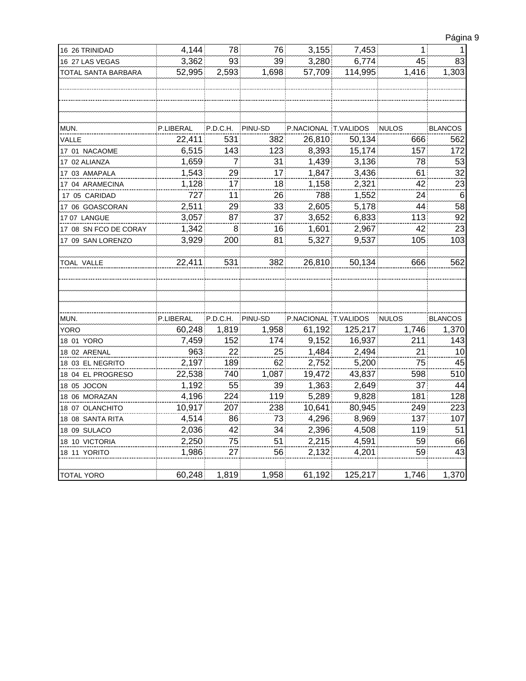| Página 9 |  |
|----------|--|
|          |  |

| 16 26 TRINIDAD        | 4,144     | 78.             | 76)     | 3,155                | 7,453   | $\mathbf{1}$ : | 1              |
|-----------------------|-----------|-----------------|---------|----------------------|---------|----------------|----------------|
| 16 27 LAS VEGAS       | 3,362     | 93              | 39      | 3,280                | 6,774   | 45             | 83             |
| TOTAL SANTA BARBARA   | 52,995    | 2,593           | 1,698   | 57,709               | 114,995 | 1,416          | 1,303          |
|                       |           |                 |         |                      |         |                |                |
|                       |           |                 |         |                      |         |                |                |
| MUN.                  | P.LIBERAL | P.D.C.H.        | PINU-SD | P.NACIONAL T.VALIDOS |         | <b>NULOS</b>   | <b>BLANCOS</b> |
| VALLE                 | 22,411    | 531             | 382     | 26,810               | 50,134  | 666            | 562            |
| 17 01 NACAOME         | 6,515     | 143             | 123     | 8,393                | 15,174  | 157            | 172            |
| 17 02 ALIANZA         | 1,659     | 7 <sup>1</sup>  | 31      | 1,439                | 3,136   | 78             | 53             |
| 17 03 AMAPALA         | 1,543     | 29              | 17      | 1,847                | 3,436   | 61             | 32             |
| 17 04 ARAMECINA       | 1,128     | 17 <sub>1</sub> | 18      | 1,158                | 2,321   | 42             | 23             |
| 17 05 CARIDAD         | 727       | 11              | 26      | 788                  | 1,552   | 24             | 6              |
| 17 06 GOASCORAN       | 2,511     | 29              | 33      | 2,605                | 5,178   | 44             | 58             |
| 17 07 LANGUE          | 3,057     | 87.             | 37      | 3,652                | 6,833   | 113            | 92             |
| 17 08 SN FCO DE CORAY | 1,342     | 8               | 16      | 1,601                | 2,967   | 42             | 23             |
| 17 09 SAN LORENZO     | 3,929     | 200             | 81      | 5,327                | 9,537   | 105            | 103            |
|                       |           |                 |         |                      |         |                |                |
| <b>TOAL VALLE</b>     | 22,411    | 531             | 382     | 26,810               | 50,134  | 666            | 562            |
|                       |           |                 |         |                      |         |                |                |
|                       |           |                 |         |                      |         |                |                |
|                       |           |                 |         |                      |         |                |                |
|                       |           |                 |         |                      |         |                |                |
| MUN.                  | P.LIBERAL | P.D.C.H.        | PINU-SD | P.NACIONAL T.VALIDOS |         | <b>NULOS</b>   | <b>BLANCOS</b> |
| <b>YORO</b>           | 60,248    | 1,819           | 1,958   | 61,192               | 125,217 | 1,746          | 1,370          |
| 18 01 YORO            | 7,459     | 152             | 174     | 9,152                | 16,937  | 211            | 143            |
| 18 02 ARENAL          | 963       | 22.             | 25      | 1,484                | 2,494   | 21             | 10             |
| 18 03 EL NEGRITO      | 2,197     | 189             | 62      | 2,752                | 5,200   | 75             | 45             |
| 18 04 EL PROGRESO     | 22,538    | 740             | 1,087   | 19,472               | 43,837  | 598            | 510            |
| 18 05 JOCON           | 1,192     | 55              | 39      | 1,363                | 2,649   | 37             | 44             |
| 18 06 MORAZAN         | 4,196     | 224             | 119     | 5,289                | 9,828   | 181            | 128            |
| 18 07 OLANCHITO       | 10,917    | 207             | 238     | 10,641               | 80,945  | 249            | 223            |
| 18 08 SANTA RITA      | 4,514     | 86              | 73      | 4,296                | 8,969   | 137            | 107            |
| 18 09 SULACO          | 2,036     | 42              | 34      | 2,396                | 4,508   | 119            | 51             |
| 18 10 VICTORIA        | 2,250     | 75              | 51      | 2,215                | 4,591   | 59             | 66             |
| 18 11 YORITO          | 1,986     | 27.             | 56      | 2,132                | 4,201   | 59             | 43             |
|                       |           |                 |         |                      |         |                |                |
| <b>TOTAL YORO</b>     | 60,248    | 1,819           | 1,958   | 61,192               | 125,217 | 1,746          | 1,370          |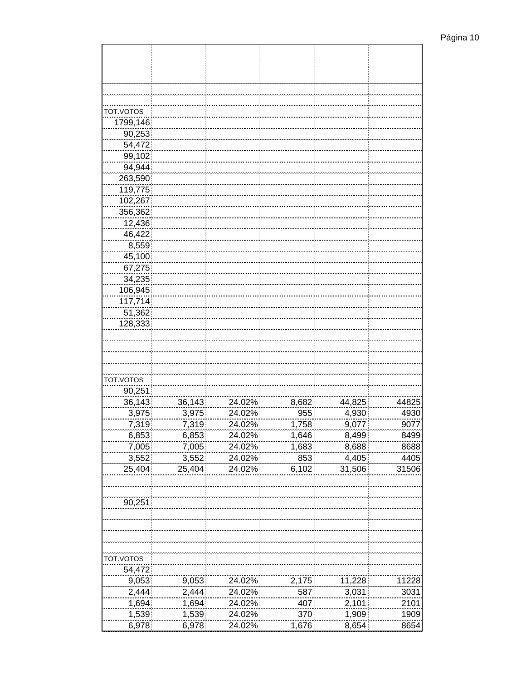| TOT.VOTOS |        |        |       |        |       |
|-----------|--------|--------|-------|--------|-------|
| 1799,146  |        |        |       |        |       |
| 90,253    |        |        |       |        |       |
| 54,472    |        |        |       |        |       |
| 99,102    |        |        |       |        |       |
| 94,944    |        |        |       |        |       |
| 263,590   |        |        |       |        |       |
| 119,775   |        |        |       |        |       |
| 102,267   |        |        |       |        |       |
| 356,362   |        |        |       |        |       |
| 12,436    |        |        |       |        |       |
| 46,422    |        |        |       |        |       |
| 8,559     |        |        |       |        |       |
| 45,100    |        |        |       |        |       |
| 67,275    |        |        |       |        |       |
| 34,235    |        |        |       |        |       |
| 106,945   |        |        |       |        |       |
| 117,714   |        |        |       |        |       |
| 51,362    |        |        |       |        |       |
| 128,333   |        |        |       |        |       |
|           |        |        |       |        |       |
|           |        |        |       |        |       |
|           |        |        |       |        |       |
|           |        |        |       |        |       |
| TOT.VOTOS |        |        |       |        |       |
| 90,251    |        |        |       |        |       |
| 36,143    | 36,143 | 24.02% | 8,682 | 44,825 | 44825 |
| 3,975     | 3,975  | 24.02% | 955   | 4,930  | 4930  |
| 7,319     | 7,319  | 24.02% | 1,758 | 9,077  | 9077  |
| 6,853     | 6,853  | 24.02% | 1,646 | 8,499  | 8499  |
| 7,005     | 7,005  | 24.02% | 1,683 | 8,688  | 8688  |
| 3,552     | 3,552  | 24.02% | 853   | 4,405  | 4405  |
| 25,404    | 25,404 | 24.02% | 6,102 | 31,506 | 31506 |
|           |        |        |       |        |       |
|           |        |        |       |        |       |
| 90,251    |        |        |       |        |       |
|           |        |        |       |        |       |
|           |        |        |       |        |       |
|           |        |        |       |        |       |
|           |        |        |       |        |       |
| TOT.VOTOS |        |        |       |        |       |
| 54,472    |        |        |       |        |       |
| 9,053     | 9,053  | 24.02% | 2,175 | 11,228 | 11228 |
| 2,444     | 2,444  | 24.02% | 587   | 3,031  | 3031  |
| 1,694     | 1,694  | 24.02% | 407   | 2,101  | 2101  |
| 1,539     | 1,539  | 24.02% | 370   | 1,909  | 1909  |
| 6,978     | 6,978  | 24.02% | 1,676 | 8,654  | 8654  |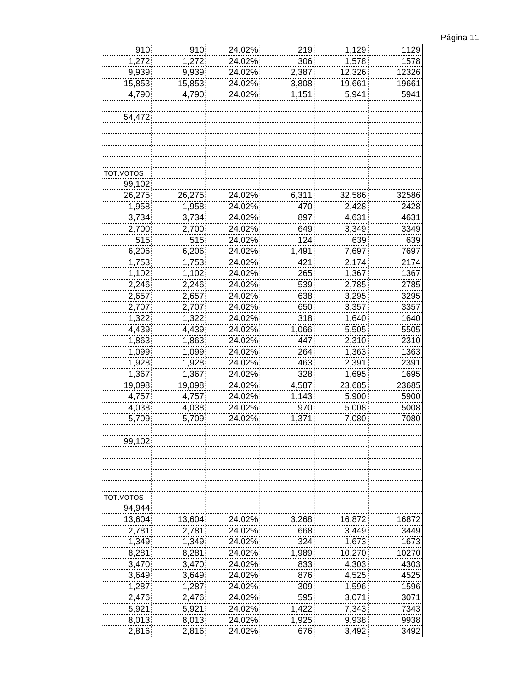| Página 11 |
|-----------|
|-----------|

| 910       | 910    | 24.02% | 219          | 1,129  | 1129         |
|-----------|--------|--------|--------------|--------|--------------|
| 1,272     | 1,272  | 24.02% | 306          | 1,578  | 1578         |
| 9,939     | 9,939  | 24.02% | 2,387        | 12,326 | 12326        |
| 15,853    | 15,853 | 24.02% | 3,808        | 19,661 | 19661        |
| 4,790     | 4,790  | 24.02% | 1,151        | 5,941  | 5941         |
|           |        |        |              |        |              |
| 54,472    |        |        |              |        |              |
|           |        |        |              |        |              |
|           |        |        |              |        |              |
|           |        |        |              |        |              |
|           |        |        |              |        |              |
| TOT.VOTOS |        |        |              |        |              |
| 99,102    |        |        |              |        |              |
| 26,275    | 26,275 | 24.02% | 6,311        | 32,586 | 32586        |
| 1,958     | 1,958  | 24.02% | 470          | 2,428  | 2428         |
| 3,734     | 3,734  | 24.02% | 897          | 4,631  | 4631         |
| 2,700     | 2,700  | 24.02% | 649          | 3,349  | 3349         |
| 515       | 515    | 24.02% | 124          | 639    | 639          |
| 6,206     | 6,206  | 24.02% | 1,491        | 7,697  | 7697         |
| 1,753     | 1,753  | 24.02% | 421          | 2,174  | 2174         |
| 1,102     | 1,102  | 24.02% | 265          | 1,367  | 1367         |
| 2,246     | 2,246  | 24.02% | 539          | 2,785  | 2785         |
| 2,657     | 2,657  | 24.02% | 638          | 3,295  | 3295         |
| 2,707     |        | 24.02% | 650          | 3,357  | 3357         |
|           | 2,707  | 24.02% | 318          |        |              |
| 1,322     | 1,322  |        |              | 1,640  | 1640         |
| 4,439     | 4,439  | 24.02% | 1,066<br>447 | 5,505  | 5505<br>2310 |
| 1,863     | 1,863  | 24.02% |              | 2,310  |              |
| 1,099     | 1,099  | 24.02% | 264          | 1,363  | 1363         |
| 1,928     | 1,928  | 24.02% | 463          | 2,391  | 2391         |
| 1,367     | 1,367  | 24.02% | 328          | 1,695  | 1695         |
| 19,098    | 19,098 | 24.02% | 4,587        | 23,685 | 23685        |
| 4,757     | 4,757  | 24.02% | 1,143        | 5,900  | 5900         |
| 4,038     | 4,038  | 24.02% | 970          | 5,008  | 5008         |
| 5,709     | 5,709  | 24.02% | 1,371        | 7,080  | 7080         |
|           |        |        |              |        |              |
| 99,102    |        |        |              |        |              |
|           |        |        |              |        |              |
|           |        |        |              |        |              |
|           |        |        |              |        |              |
|           |        |        |              |        |              |
| TOT.VOTOS |        |        |              |        |              |
| 94,944    |        |        |              |        |              |
| 13,604    | 13,604 | 24.02% | 3,268        | 16,872 | 16872        |
| 2,781     | 2,781  | 24.02% | 668          | 3,449  | 3449         |
| 1,349     | 1,349  | 24.02% | 324          | 1,673  | 1673         |
| 8,281     | 8,281  | 24.02% | 1,989        | 10,270 | 10270        |
| 3,470     | 3,470  | 24.02% | 833          | 4,303  | 4303         |
| 3,649     | 3,649  | 24.02% | 876          | 4,525  | 4525         |
| 1,287     | 1,287  | 24.02% | 309          | 1,596  | 1596         |
| 2,476     | 2,476  | 24.02% | 595          | 3,071  | 3071         |
| 5,921     | 5,921  | 24.02% | 1,422        | 7,343  | 7343         |
| 8,013     | 8,013  | 24.02% | 1,925        | 9,938  | 9938         |
| 2,816     | 2,816  | 24.02% | 676          | 3,492  | 3492         |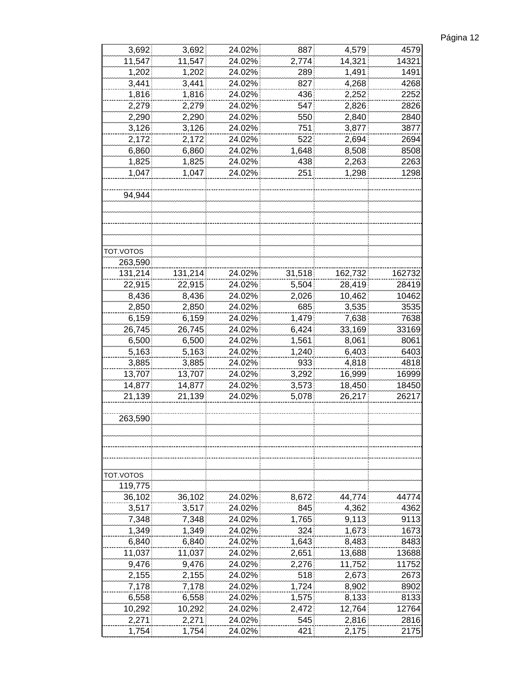| Página 12 |  |
|-----------|--|
|-----------|--|

| 3,692     | 3,692   | 24.02% | 887    | 4,579   | 4579   |
|-----------|---------|--------|--------|---------|--------|
|           |         |        | 2,774  |         |        |
| 11,547    | 11,547  | 24.02% |        | 14,321  | 14321  |
| 1,202     | 1,202   | 24.02% | 289    | 1,491   | 1491   |
| 3,441     | 3,441   | 24.02% | 827    | 4,268   | 4268   |
| 1,816     | 1,816   | 24.02% | 436    | 2,252   | 2252   |
| 2,279     | 2,279   | 24.02% | 547    | 2,826   | 2826   |
| 2,290     | 2,290   | 24.02% | 550    | 2,840   | 2840   |
| 3,126     | 3,126   | 24.02% | 751    | 3,877   | 3877   |
| 2,172     | 2,172   | 24.02% | 522    | 2,694   | 2694   |
| 6,860     | 6,860   | 24.02% | 1,648  | 8,508   | 8508   |
| 1,825     | 1,825   | 24.02% | 438    | 2,263   | 2263   |
| 1,047     | 1,047   | 24.02% | 251    | 1,298   | 1298   |
|           |         |        |        |         |        |
|           |         |        |        |         |        |
| 94,944    |         |        |        |         |        |
|           |         |        |        |         |        |
|           |         |        |        |         |        |
|           |         |        |        |         |        |
|           |         |        |        |         |        |
| TOT.VOTOS |         |        |        |         |        |
| 263,590   |         |        |        |         |        |
| 131,214   | 131,214 | 24.02% | 31,518 | 162,732 | 162732 |
| 22,915    | 22,915  | 24.02% | 5,504  | 28,419  | 28419  |
| 8,436     | 8,436   | 24.02% | 2,026  | 10,462  | 10462  |
| 2,850     | 2,850   | 24.02% | 685    | 3,535   | 3535   |
| 6,159     | 6,159   | 24.02% | 1,479  | 7,638   | 7638   |
| 26,745    | 26,745  | 24.02% | 6,424  | 33,169  | 33169  |
| 6,500     | 6,500   | 24.02% | 1,561  | 8,061   | 8061   |
|           |         |        |        |         |        |
| 5,163     | 5,163   | 24.02% | 1,240  | 6,403   | 6403   |
| 3,885     | 3,885   | 24.02% | 933    | 4,818   | 4818   |
| 13,707    | 13,707  | 24.02% | 3,292  | 16,999  | 16999  |
| 14,877    | 14,877  | 24.02% | 3,573  | 18,450  | 18450  |
| 21,139    | 21,139  | 24.02% | 5,078  | 26,217  | 26217  |
|           |         |        |        |         |        |
| 263,590   |         |        |        |         |        |
|           |         |        |        |         |        |
|           |         |        |        |         |        |
|           |         |        |        |         |        |
|           |         |        |        |         |        |
| TOT.VOTOS |         |        |        |         |        |
| 119,775   |         |        |        |         |        |
| 36,102    | 36,102  | 24.02% | 8,672  | 44,774  | 44774  |
| 3,517     | 3,517   | 24.02% | 845    | 4,362   | 4362   |
| 7,348     | 7,348   | 24.02% | 1,765  | 9,113   | 9113   |
|           |         |        |        |         |        |
| 1,349     | 1,349   | 24.02% | 324    | 1,673   | 1673   |
| 6,840     | 6,840   | 24.02% | 1,643  | 8,483   | 8483   |
| 11,037    | 11,037  | 24.02% | 2,651  | 13,688  | 13688  |
| 9,476     | 9,476   | 24.02% | 2,276  | 11,752  | 11752  |
| 2,155     | 2,155   | 24.02% | 518    | 2,673   | 2673   |
| 7,178     | 7,178   | 24.02% | 1,724  | 8,902   | 8902   |
| 6,558     | 6,558   | 24.02% | 1,575  | 8,133   | 8133   |
| 10,292    | 10,292  | 24.02% | 2,472  | 12,764  | 12764  |
| 2,271     | 2,271   | 24.02% | 545    | 2,816   | 2816   |
| 1,754     | 1,754   | 24.02% | 421    | 2,175   | 2175   |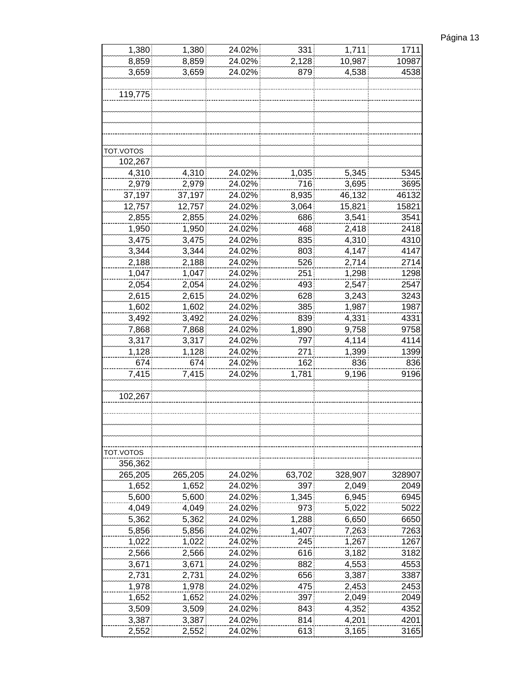| Página 13 |  |
|-----------|--|
|           |  |

| 1,380     | 1,380   | 24.02% | 331    | 1,711   | 1711   |
|-----------|---------|--------|--------|---------|--------|
| 8,859     | 8,859   | 24.02% | 2,128  | 10,987  | 10987  |
| 3,659     | 3,659   | 24.02% | 879    | 4,538   | 4538   |
|           |         |        |        |         |        |
| 119,775   |         |        |        |         |        |
|           |         |        |        |         |        |
|           |         |        |        |         |        |
|           |         |        |        |         |        |
|           |         |        |        |         |        |
| TOT.VOTOS |         |        |        |         |        |
| 102,267   |         |        |        |         |        |
| 4,310     | 4,310   | 24.02% | 1,035  | 5,345   | 5345   |
| 2,979     | 2,979   | 24.02% | 716    | 3,695   | 3695   |
| 37,197    | 37,197  | 24.02% | 8,935  | 46,132  | 46132  |
| 12,757    | 12,757  | 24.02% | 3,064  | 15,821  | 15821  |
| 2,855     | 2,855   | 24.02% | 686    | 3,541   | 3541   |
| 1,950     | 1,950   | 24.02% | 468    | 2,418   | 2418   |
| 3,475     | 3,475   | 24.02% | 835    | 4,310   | 4310   |
| 3,344     | 3,344   | 24.02% | 803    | 4,147   | 4147   |
| 2,188     | 2,188   | 24.02% | 526    | 2,714   | 2714   |
| 1,047     | 1,047   | 24.02% | 251    | 1,298   | 1298   |
| 2,054     | 2,054   | 24.02% | 493    | 2,547   | 2547   |
| 2,615     | 2,615   | 24.02% | 628    | 3,243   | 3243   |
|           |         |        |        |         |        |
| 1,602     | 1,602   | 24.02% | 385    | 1,987   | 1987   |
| 3,492     | 3,492   | 24.02% | 839    | 4,331   | 4331   |
| 7,868     | 7,868   | 24.02% | 1,890  | 9,758   | 9758   |
| 3,317     | 3,317   | 24.02% | 797    | 4,114   | 4114   |
| 1,128     | 1,128   | 24.02% | 271    | 1,399   | 1399   |
| 674       | 674     | 24.02% | 162    | 836     | 836    |
| 7,415     | 7,415   | 24.02% | 1,781  | 9,196   | 9196   |
|           |         |        |        |         |        |
| 102,267   |         |        |        |         |        |
|           |         |        |        |         |        |
|           |         |        |        |         |        |
|           |         |        |        |         |        |
|           |         |        |        |         |        |
| TOT.VOTOS |         |        |        |         |        |
| 356,362   |         |        |        |         |        |
| 265,205   | 265,205 | 24.02% | 63,702 | 328,907 | 328907 |
| 1,652     | 1,652   | 24.02% | 397    | 2,049   | 2049   |
| 5,600     | 5,600   | 24.02% | 1,345  | 6,945   | 6945   |
| 4,049     | 4,049   | 24.02% | 973    | 5,022   | 5022   |
| 5,362     | 5,362   | 24.02% | 1,288  | 6,650   | 6650   |
| 5,856     | 5,856   | 24.02% | 1,407  | 7,263   | 7263   |
| 1,022     | 1,022   | 24.02% | 245    | 1,267   | 1267   |
| 2,566     | 2,566   | 24.02% | 616    | 3,182   | 3182   |
| 3,671     | 3,671   | 24.02% | 882    | 4,553   | 4553   |
| 2,731     | 2,731   | 24.02% | 656    | 3,387   | 3387   |
| 1,978     | 1,978   | 24.02% | 475    | 2,453   | 2453   |
| 1,652     | 1,652   | 24.02% | 397    | 2,049   | 2049   |
| 3,509     | 3,509   | 24.02% | 843    | 4,352   | 4352   |
| 3,387     | 3,387   | 24.02% | 814    | 4,201   | 4201   |
| 2,552     | 2,552   | 24.02% | 613    | 3,165   | 3165   |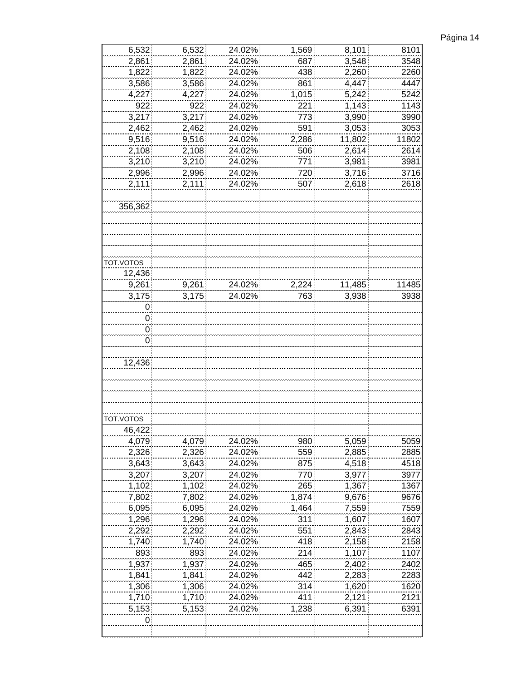| Página 14 |  |
|-----------|--|
|           |  |

| 6,532     | 6,532          | 24.02% | 1,569 | 8,101  | 8101  |
|-----------|----------------|--------|-------|--------|-------|
| 2,861     | 2,861          | 24.02% | 687   | 3,548  | 3548  |
| 1,822     | 1,822          | 24.02% | 438   | 2,260  | 2260  |
| 3,586     | 3,586          | 24.02% | 861   | 4,447  | 4447  |
| 4,227     | 4,227          | 24.02% | 1,015 | 5,242  | 5242  |
| 922       | 922            | 24.02% | 221   | 1,143  | 1143  |
| 3,217     | 3,217          | 24.02% | 773   | 3,990  | 3990  |
| 2,462     |                |        | 591   | 3,053  | 3053  |
|           | 2,462<br>9,516 | 24.02% |       | 11,802 | 11802 |
| 9,516     |                | 24.02% | 2,286 |        |       |
| 2,108     | 2,108          | 24.02% | 506   | 2,614  | 2614  |
| 3,210     | 3,210          | 24.02% | 771   | 3,981  | 3981  |
| 2,996     | 2,996          | 24.02% | 720   | 3,716  | 3716  |
| 2,111     | 2,111          | 24.02% | 507   | 2,618  | 2618  |
|           |                |        |       |        |       |
| 356,362   |                |        |       |        |       |
|           |                |        |       |        |       |
|           |                |        |       |        |       |
|           |                |        |       |        |       |
|           |                |        |       |        |       |
| TOT.VOTOS |                |        |       |        |       |
| 12,436    |                |        |       |        |       |
| 9,261     | 9,261          | 24.02% | 2,224 | 11,485 | 11485 |
| 3,175     | 3,175          | 24.02% | 763   | 3,938  | 3938  |
|           |                |        |       |        |       |
| 0         |                |        |       |        |       |
| 0         |                |        |       |        |       |
| 0         |                |        |       |        |       |
| 0         |                |        |       |        |       |
|           |                |        |       |        |       |
| 12,436    |                |        |       |        |       |
|           |                |        |       |        |       |
|           |                |        |       |        |       |
|           |                |        |       |        |       |
|           |                |        |       |        |       |
| TOT.VOTOS |                |        |       |        |       |
| 46,422    |                |        |       |        |       |
| 4,079     | 4,079          | 24.02% | 980   | 5,059  | 5059  |
| 2,326     | 2,326          | 24.02% | 559   | 2,885  | 2885  |
| 3,643     | 3,643          | 24.02% | 875   | 4,518  | 4518  |
| 3,207     | 3,207          | 24.02% | 770   | 3,977  | 3977  |
| 1,102     | 1,102          | 24.02% | 265   | 1,367  | 1367  |
|           |                |        |       |        |       |
| 7,802     | 7,802          | 24.02% | 1,874 | 9,676  | 9676  |
| 6,095     | 6,095          | 24.02% | 1,464 | 7,559  | 7559  |
| 1,296     | 1,296          | 24.02% | 311   | 1,607  | 1607  |
| 2,292     | 2,292          | 24.02% | 551   | 2,843  | 2843  |
| 1,740     | 1,740          | 24.02% | 418   | 2,158  | 2158  |
| 893       | 893            | 24.02% | 214   | 1,107  | 1107  |
| 1,937     | 1,937          | 24.02% | 465   | 2,402  | 2402  |
| 1,841     | 1,841          | 24.02% | 442   | 2,283  | 2283  |
| 1,306     | 1,306          | 24.02% | 314   | 1,620  | 1620  |
| 1,710     | 1,710          | 24.02% | 411   | 2,121  | 2121  |
| 5,153     | 5,153          | 24.02% | 1,238 | 6,391  | 6391  |
| 0         |                |        |       |        |       |
|           |                |        |       |        |       |
|           |                |        |       |        |       |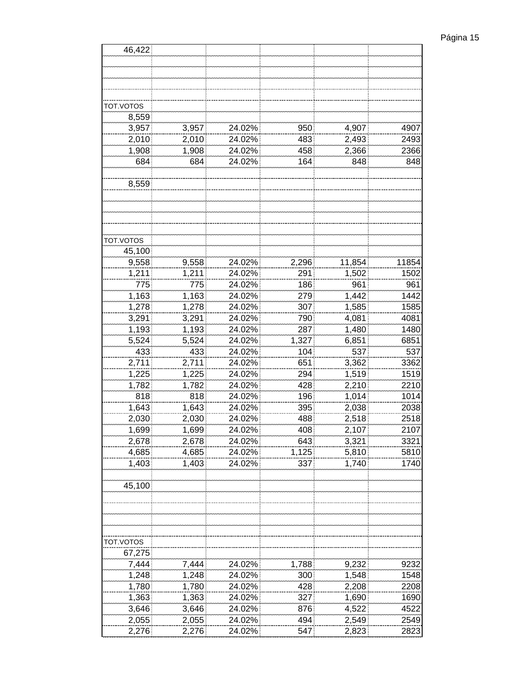| 46,422              |        |        |       |        |       |
|---------------------|--------|--------|-------|--------|-------|
|                     |        |        |       |        |       |
|                     |        |        |       |        |       |
|                     |        |        |       |        |       |
|                     |        |        |       |        |       |
| TOT.VOTOS           |        |        |       |        |       |
| 8,559               |        |        |       |        |       |
| 3,957               | 3,957  | 24.02% | 950   | 4,907  | 4907  |
| 2,010               | 2,010  | 24.02% | 483   | 2,493  | 2493  |
| 1,908               | 1,908  | 24.02% | 458   | 2,366  | 2366  |
| 684                 | 684    |        |       |        |       |
|                     |        | 24.02% | 164   | 848    | 848   |
| 8,559               |        |        |       |        |       |
|                     |        |        |       |        |       |
|                     |        |        |       |        |       |
| TOT.VOTOS<br>45,100 |        |        |       |        |       |
|                     |        |        |       |        |       |
| 9,558               | 9,558  | 24.02% | 2,296 | 11,854 | 11854 |
| 1,211               | 1,211  | 24.02% | 291   | 1,502  | 1502  |
| 775                 | 775    | 24.02% | 186   | 961    | 961   |
| 1,163               | 1,163  | 24.02% | 279   | 1,442  | 1442  |
| 1,278               | 1,278  | 24.02% | 307   | 1,585  | 1585  |
| 3,291               | 3,291  | 24.02% | 790   | 4,081  | 4081  |
| 1,193               | 1,193  | 24.02% | 287   | 1,480  | 1480  |
| 5,524               | 5,524  | 24.02% | 1,327 | 6,851  | 6851  |
| 433                 | 433    | 24.02% | 104   | 537    | 537   |
| 2,711               | 2,711  | 24.02% | 651   | 3,362  | 3362  |
| 1,225               | 1,225  | 24.02% | 294   | 1,519  | 1519  |
| 1,782               | 1,782  | 24.02% | 428   | 2,210  | 2210  |
| 818                 | 818    | 24.02% | 196   | 1,014  | 1014  |
| 1,643               | 1,643  | 24.02% | 395   | 2,038  | 2038  |
| 2,030               | 2,030  | 24.02% | 488   | 2,518  | 2518  |
| 1.699.              | 1.699. | 24.02% | 408.  | 2.107  | 2107  |
| 2,678               | 2,678  | 24.02% | 643   | 3,321  | 3321  |
| 4,685               | 4,685  | 24.02% | 1,125 | 5,810  | 5810  |
| 1,403               | 1,403  | 24.02% | 337   | 1,740  | 1740  |
|                     |        |        |       |        |       |
| 45,100              |        |        |       |        |       |
|                     |        |        |       |        |       |
| TOT.VOTOS           |        |        |       |        |       |
| 67,275              |        |        |       |        |       |
| 7,444               | 7,444  | 24.02% | 1,788 | 9,232  | 9232  |
| 1,248               | 1,248  | 24.02% | 300   | 1,548  | 1548  |
| 1,780               | 1,780  | 24.02% | 428   | 2,208  | 2208  |
| 1,363               | 1,363  | 24.02% | 327   | 1,690  | 1690  |
| 3,646               | 3,646  | 24.02% | 876   | 4,522  | 4522  |
| 2,055               | 2,055  | 24.02% | 494   | 2,549  | 2549  |
| 2,276               | 2,276  | 24.02% | 547   | 2,823  | 2823  |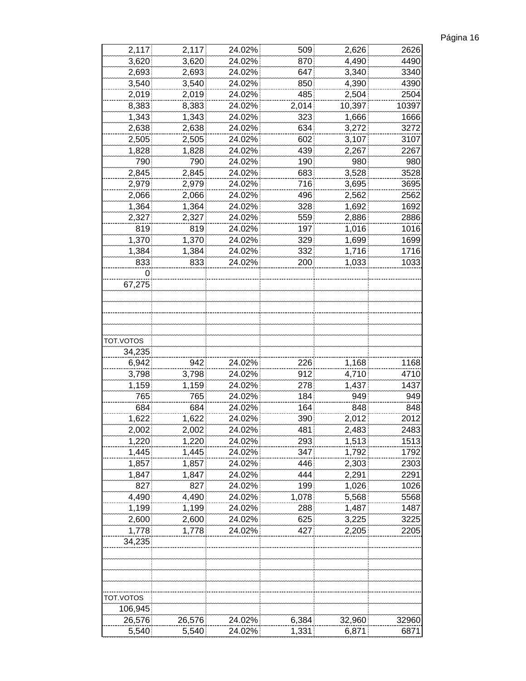| Página 16 |  |
|-----------|--|
|           |  |

| 2,117     | 2,117  | 24.02% | 509   | 2,626  | 2626  |
|-----------|--------|--------|-------|--------|-------|
| 3,620     | 3,620  | 24.02% | 870   | 4,490  | 4490  |
| 2,693     | 2,693  | 24.02% | 647   | 3,340  | 3340  |
| 3,540     | 3,540  | 24.02% | 850   | 4,390  | 4390  |
| 2,019     | 2,019  | 24.02% | 485   | 2,504  | 2504  |
| 8,383     | 8,383  | 24.02% | 2,014 | 10,397 | 10397 |
| 1,343     | 1,343  | 24.02% | 323   | 1,666  | 1666  |
| 2,638     | 2,638  | 24.02% | 634   | 3,272  | 3272  |
| 2,505     | 2,505  | 24.02% | 602   | 3,107  | 3107  |
| 1,828     | 1,828  | 24.02% | 439   | 2,267  | 2267  |
| 790       | 790    | 24.02% | 190   | 980    | 980   |
| 2,845     | 2,845  | 24.02% | 683   | 3,528  | 3528  |
| 2,979     | 2,979  | 24.02% | 716   | 3,695  | 3695  |
| 2,066     | 2,066  | 24.02% | 496   | 2,562  | 2562  |
| 1,364     | 1,364  | 24.02% | 328   | 1,692  | 1692  |
|           |        |        | 559   |        |       |
| 2,327     | 2,327  | 24.02% |       | 2,886  | 2886  |
| 819       | 819    | 24.02% | 197   | 1,016  | 1016  |
| 1,370     | 1,370  | 24.02% | 329   | 1,699  | 1699  |
| 1,384     | 1,384  | 24.02% | 332   | 1,716  | 1716  |
| 833       | 833    | 24.02% | 200   | 1,033  | 1033  |
| 0         |        |        |       |        |       |
| 67,275    |        |        |       |        |       |
|           |        |        |       |        |       |
|           |        |        |       |        |       |
|           |        |        |       |        |       |
|           |        |        |       |        |       |
| TOT.VOTOS |        |        |       |        |       |
| 34,235    |        |        |       |        |       |
| 6,942     | 942    | 24.02% | 226   | 1,168  | 1168  |
| 3,798     | 3,798  | 24.02% | 912   | 4,710  | 4710  |
| 1,159     | 1,159  | 24.02% | 278   | 1,437  | 1437  |
| 765       | 765    | 24.02% | 184   | 949    | 949   |
| 684       | 684    | 24.02% | 164   | 848    | 848   |
| 1,622     | 1,622  | 24.02% | 390   | 2,012  | 2012  |
| 2,002     | 2,002  | 24.02% | 481   | 2,483  | 2483  |
| 1,220     | 1,220  | 24.02% | 293   | 1,513  | 1513  |
| 1,445     | 1,445  | 24.02% | 347   | 1,792  | 1792  |
| 1,857     | 1,857  | 24.02% | 446   | 2,303  | 2303  |
| 1,847     | 1,847  | 24.02% | 444   | 2,291  | 2291  |
| 827       | 827    | 24.02% | 199   | 1,026  | 1026  |
| 4,490     | 4,490  | 24.02% | 1,078 | 5,568  | 5568  |
| 1,199     | 1,199  | 24.02% | 288   | 1,487  | 1487  |
|           |        |        |       |        |       |
| 2,600     | 2,600  | 24.02% | 625   | 3,225  | 3225  |
| 1,778     | 1,778  | 24.02% | 427   | 2,205  | 2205  |
| 34,235    |        |        |       |        |       |
|           |        |        |       |        |       |
|           |        |        |       |        |       |
|           |        |        |       |        |       |
|           |        |        |       |        |       |
| TOT.VOTOS |        |        |       |        |       |
| 106,945   |        |        |       |        |       |
| 26,576    | 26,576 | 24.02% | 6,384 | 32,960 | 32960 |
| 5,540     | 5,540  | 24.02% | 1,331 | 6,871  | 6871  |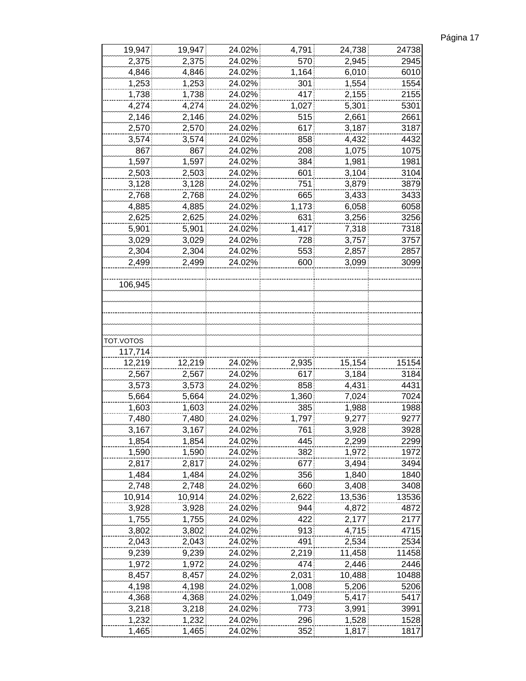| Página 17 |  |
|-----------|--|
|           |  |

| 19,947    | 19,947 | 24.02% | 4,791 | 24,738 | 24738 |
|-----------|--------|--------|-------|--------|-------|
| 2,375     | 2,375  | 24.02% | 570   | 2,945  | 2945  |
| 4,846     | 4,846  | 24.02% | 1,164 | 6,010  | 6010  |
| 1,253     | 1,253  | 24.02% | 301   | 1,554  | 1554  |
| 1,738     | 1,738  | 24.02% | 417   | 2,155  | 2155  |
| 4,274     | 4,274  | 24.02% | 1,027 | 5,301  | 5301  |
| 2,146     | 2,146  | 24.02% | 515   | 2,661  | 2661  |
| 2,570     | 2,570  | 24.02% | 617   | 3,187  | 3187  |
| 3,574     | 3,574  | 24.02% | 858   | 4,432  | 4432  |
| 867       | 867    | 24.02% | 208   | 1,075  | 1075  |
| 1,597     | 1,597  | 24.02% | 384   | 1,981  | 1981  |
| 2,503     | 2,503  | 24.02% | 601   | 3,104  | 3104  |
| 3,128     | 3,128  | 24.02% | 751   | 3,879  | 3879  |
| 2,768     | 2,768  | 24.02% | 665   | 3,433  | 3433  |
| 4,885     | 4,885  | 24.02% | 1,173 | 6,058  | 6058  |
| 2,625     | 2,625  | 24.02% | 631   | 3,256  | 3256  |
|           |        |        |       |        |       |
| 5,901     | 5,901  | 24.02% | 1,417 | 7,318  | 7318  |
| 3,029     | 3,029  | 24.02% | 728   | 3,757  | 3757  |
| 2,304     | 2,304  | 24.02% | 553   | 2,857  | 2857  |
| 2,499     | 2,499  | 24.02% | 600   | 3,099  | 3099  |
|           |        |        |       |        |       |
| 106,945   |        |        |       |        |       |
|           |        |        |       |        |       |
|           |        |        |       |        |       |
|           |        |        |       |        |       |
|           |        |        |       |        |       |
| TOT.VOTOS |        |        |       |        |       |
| 117,714   |        |        |       |        |       |
| 12,219    | 12,219 | 24.02% | 2,935 | 15,154 | 15154 |
| 2,567     | 2,567  | 24.02% | 617   | 3,184  | 3184  |
| 3,573     | 3,573  | 24.02% | 858   | 4,431  | 4431  |
| 5,664     | 5,664  | 24.02% | 1,360 | 7,024  | 7024  |
| 1,603     | 1,603  | 24.02% | 385   | 1,988  | 1988  |
| 7,480     | 7,480  | 24.02% | 1,797 | 9,277  | 9277  |
| 3,167     | 3,167  | 24.02% | 761   | 3,928  | 3928  |
| 1,854     | 1,854  | 24.02% | 445   | 2,299  | 2299  |
| 1,590     | 1,590  | 24.02% | 382   | 1,972  | 1972  |
| 2,817     | 2,817  | 24.02% | 677   | 3,494  | 3494  |
| 1,484     | 1,484  | 24.02% | 356   | 1,840  | 1840  |
| 2,748     | 2,748  | 24.02% | 660   | 3,408  | 3408  |
| 10,914    | 10,914 | 24.02% | 2,622 | 13,536 | 13536 |
| 3,928     | 3,928  | 24.02% | 944   | 4,872  | 4872  |
| 1,755     | 1,755  | 24.02% | 422   | 2,177  | 2177  |
| 3,802     | 3,802  | 24.02% | 913   | 4,715  | 4715  |
| 2,043     | 2,043  | 24.02% | 491   | 2,534  | 2534  |
| 9,239     | 9,239  | 24.02% | 2,219 | 11,458 | 11458 |
| 1,972     | 1,972  | 24.02% | 474   | 2,446  | 2446  |
| 8,457     | 8,457  | 24.02% | 2,031 | 10,488 | 10488 |
| 4,198     | 4,198  | 24.02% | 1,008 | 5,206  | 5206  |
| 4,368     | 4,368  | 24.02% | 1,049 | 5,417  | 5417  |
| 3,218     | 3,218  | 24.02% | 773   | 3,991  | 3991  |
| 1,232     | 1,232  | 24.02% | 296   | 1,528  | 1528  |
| 1,465     | 1,465  | 24.02% | 352   | 1,817  | 1817  |